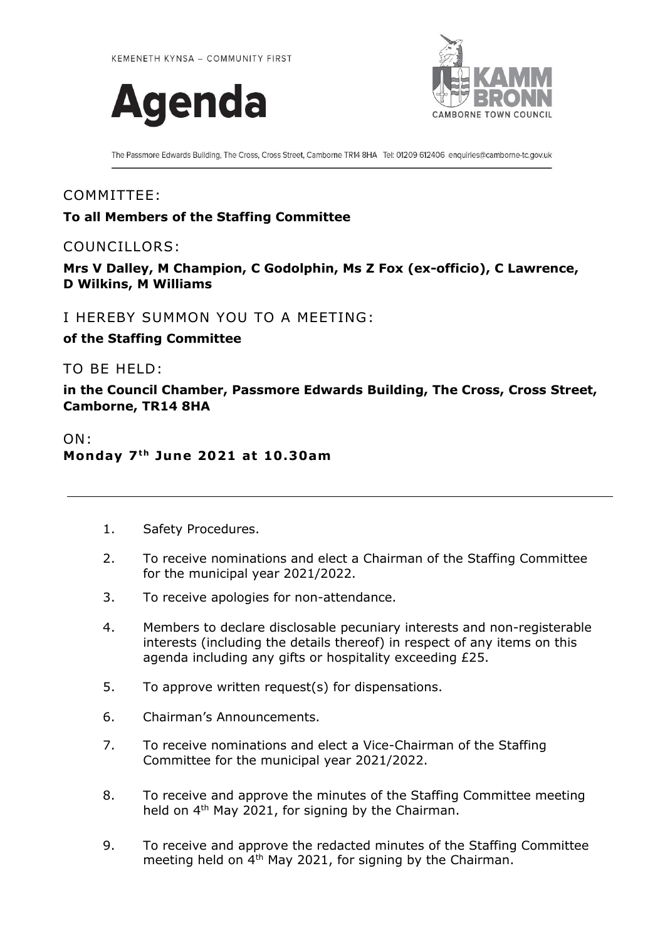



The Passmore Edwards Building, The Cross, Cross Street, Camborne TR14 8HA Tel: 01209 612406 enquiries@camborne-tc.gov.uk

## COMMITTEE:

## **To all Members of the Staffing Committee**

## COUNCILLORS:

**Mrs V Dalley, M Champion, C Godolphin, Ms Z Fox (ex-officio), C Lawrence, D Wilkins, M Williams**

I HEREBY SUMMON YOU TO A MEETING:

**of the Staffing Committee**

TO BE HELD:

**in the Council Chamber, Passmore Edwards Building, The Cross, Cross Street, Camborne, TR14 8HA**

## ON: **Monday 7 t h June 2021 at 10 .30am**

- 1. Safety Procedures.
- 2. To receive nominations and elect a Chairman of the Staffing Committee for the municipal year 2021/2022.
- 3. To receive apologies for non-attendance.
- 4. Members to declare disclosable pecuniary interests and non-registerable interests (including the details thereof) in respect of any items on this agenda including any gifts or hospitality exceeding £25.
- 5. To approve written request(s) for dispensations.
- 6. Chairman's Announcements.
- 7. To receive nominations and elect a Vice-Chairman of the Staffing Committee for the municipal year 2021/2022.
- 8. To receive and approve the minutes of the Staffing Committee meeting held on 4<sup>th</sup> May 2021, for signing by the Chairman.
- 9. To receive and approve the redacted minutes of the Staffing Committee meeting held on 4<sup>th</sup> May 2021, for signing by the Chairman.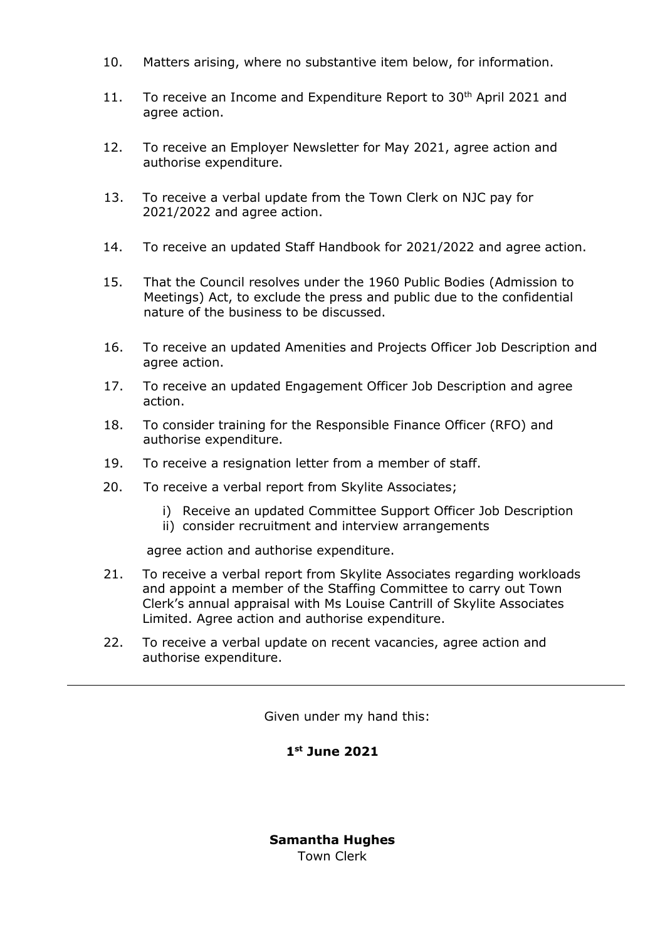- 10. Matters arising, where no substantive item below, for information.
- 11. To receive an Income and Expenditure Report to  $30<sup>th</sup>$  April 2021 and agree action.
- 12. To receive an Employer Newsletter for May 2021, agree action and authorise expenditure.
- 13. To receive a verbal update from the Town Clerk on NJC pay for 2021/2022 and agree action.
- 14. To receive an updated Staff Handbook for 2021/2022 and agree action.
- 15. That the Council resolves under the 1960 Public Bodies (Admission to Meetings) Act, to exclude the press and public due to the confidential nature of the business to be discussed.
- 16. To receive an updated Amenities and Projects Officer Job Description and agree action.
- 17. To receive an updated Engagement Officer Job Description and agree action.
- 18. To consider training for the Responsible Finance Officer (RFO) and authorise expenditure.
- 19. To receive a resignation letter from a member of staff.
- 20. To receive a verbal report from Skylite Associates;
	- i) Receive an updated Committee Support Officer Job Description ii) consider recruitment and interview arrangements

agree action and authorise expenditure.

- 21. To receive a verbal report from Skylite Associates regarding workloads and appoint a member of the Staffing Committee to carry out Town Clerk's annual appraisal with Ms Louise Cantrill of Skylite Associates Limited. Agree action and authorise expenditure.
- 22. To receive a verbal update on recent vacancies, agree action and authorise expenditure.

Given under my hand this:

**1 st June 2021**

**Samantha Hughes** Town Clerk